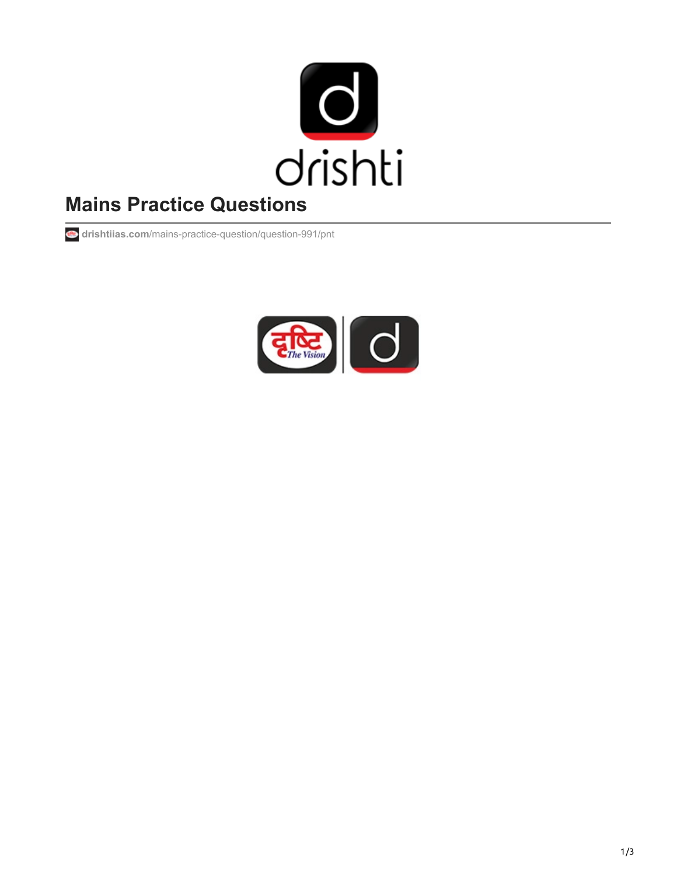

# **Mains Practice Questions**

**drishtiias.com**[/mains-practice-question/question-991/pnt](https://www.drishtiias.com/mains-practice-question/question-991/pnt)

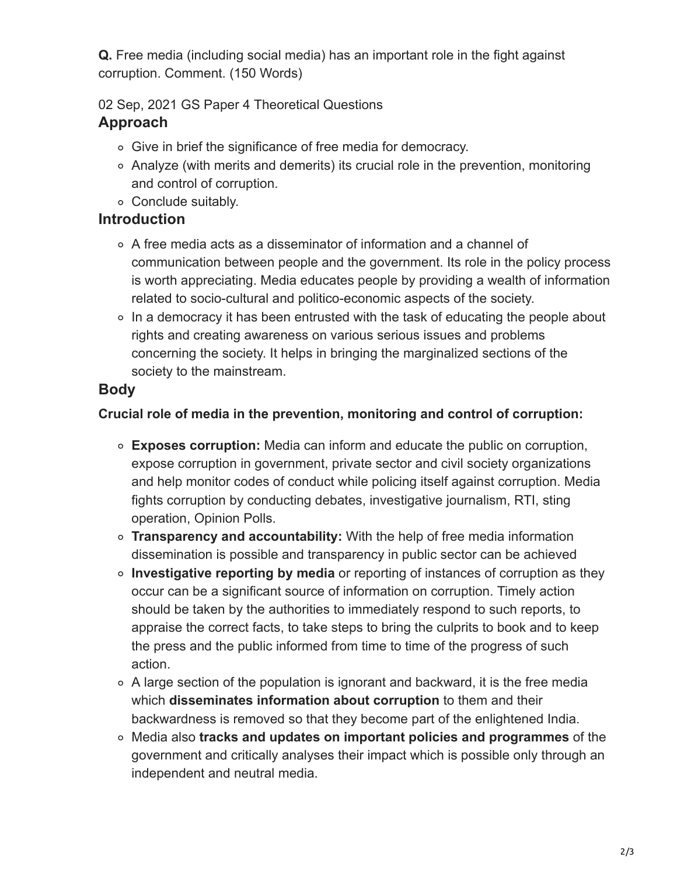**Q.** Free media (including social media) has an important role in the fight against corruption. Comment. (150 Words)

02 Sep, 2021 GS Paper 4 Theoretical Questions **Approach**

- Give in brief the significance of free media for democracy.
- Analyze (with merits and demerits) its crucial role in the prevention, monitoring and control of corruption.
- Conclude suitably.

#### **Introduction**

- A free media acts as a disseminator of information and a channel of communication between people and the government. Its role in the policy process is worth appreciating. Media educates people by providing a wealth of information related to socio-cultural and politico-economic aspects of the society.
- In a democracy it has been entrusted with the task of educating the people about rights and creating awareness on various serious issues and problems concerning the society. It helps in bringing the marginalized sections of the society to the mainstream.

## **Body**

#### **Crucial role of media in the prevention, monitoring and control of corruption:**

- **Exposes corruption:** Media can inform and educate the public on corruption, expose corruption in government, private sector and civil society organizations and help monitor codes of conduct while policing itself against corruption. Media fights corruption by conducting debates, investigative journalism, RTI, sting operation, Opinion Polls.
- **Transparency and accountability:** With the help of free media information dissemination is possible and transparency in public sector can be achieved
- **Investigative reporting by media** or reporting of instances of corruption as they occur can be a significant source of information on corruption. Timely action should be taken by the authorities to immediately respond to such reports, to appraise the correct facts, to take steps to bring the culprits to book and to keep the press and the public informed from time to time of the progress of such action.
- A large section of the population is ignorant and backward, it is the free media which **disseminates information about corruption** to them and their backwardness is removed so that they become part of the enlightened India.
- Media also **tracks and updates on important policies and programmes** of the government and critically analyses their impact which is possible only through an independent and neutral media.